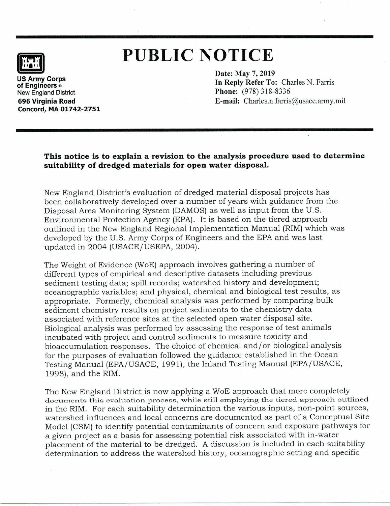

## **PUBLIC NOTICE**

**US Army Corps of Engineers ®**  New England District **696 Virginia Road Concord, MA 01742-2751**  **Date: May 7, 2019**  In **Reply Refer To:** Charles N. Farris **Phone:** (978) 318-8336 **E-mail:** Charles.n.farris@usace.army.mil

**This notice is to explain a revision to the analysis procedure used to determine suitability of dredged materials for open water disposal.** 

New England District's evaluation of dredged material disposal projects has been collaboratively developed over a number of years with guidance from the Disposal Area Monitoring System (DAMOS) as well as input from the U.S. Environmental Protection Agency (EPA). It is based on the tiered approach outlined in the New England Regional Implementation Manual (RIM) which was developed by the U.S. Army Corps of Engineers and the EPA and was last updated in 2004 (USACE/USEPA, 2004).

The Weight of Evidence (WoE) approach involves gathering a number of different types of empirical and descriptive datasets including previous sediment testing data; spill records; watershed history and development; oceanographic variables; and physical, chemical and biological test results, as appropriate. Formerly, chemical analysis was performed by comparing bulk sediment chemistry results on project sediments to the chemistry data associated with reference sites at the selected open water disposal site. Biological analysis was performed by assessing the response of test animals incubated with project and control sediments to measure toxicity and bioaccumulation responses. The choice of chemical and/ or biological analysis for the purposes of evaluation followed the guidance established in the Ocean Testing Manual (EPA/USACE, 1991), the Inland Testing Manual (EPA/USACE, 1998), and the RIM.

The New England District is now applying a WoE approach that more completely documents this evaluation process, while still employing the tiered approach outlined in the RIM. For each suitability determination the various inputs, non-point sources, watershed influences and local concerns are documented as part of a Conceptual Site Model (CSM) to identify potential contaminants of concern and exposure pathways for a given project as a basis for assessing potential risk associated with in-water placement of the material to be dredged. A discussion is included in each suitability determination to address the watershed history, oceanographic setting and specific